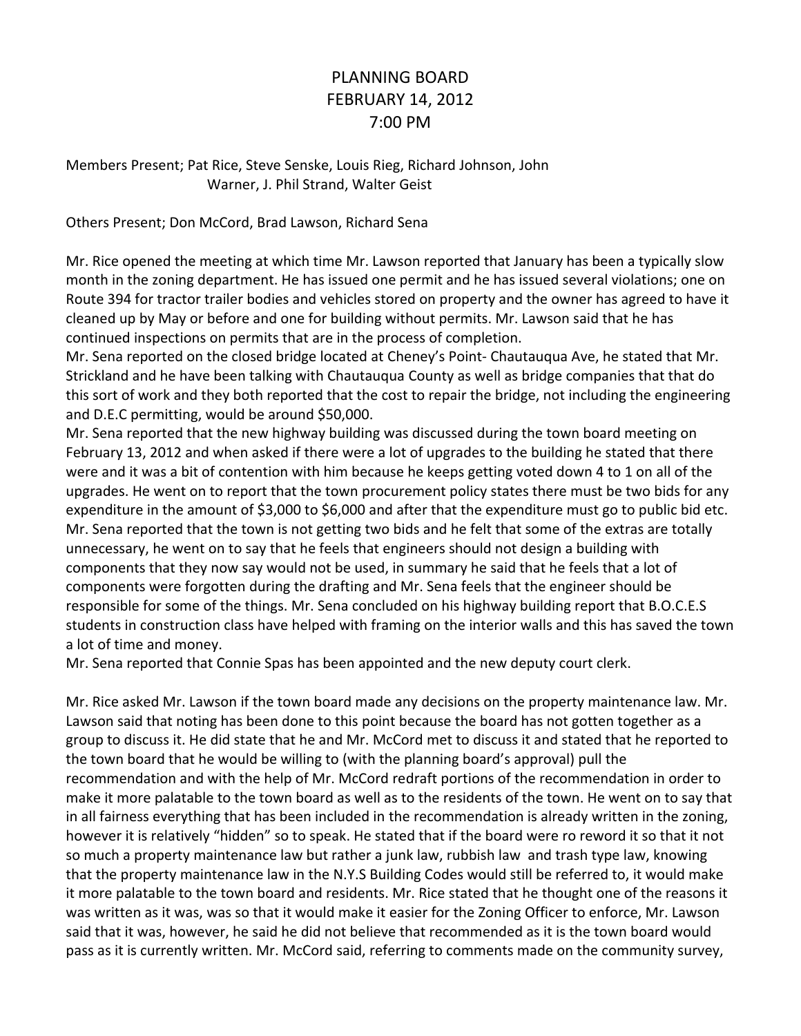## PLANNING BOARD FEBRUARY 14, 2012 7:00 PM

Members Present; Pat Rice, Steve Senske, Louis Rieg, Richard Johnson, John Warner, J. Phil Strand, Walter Geist

Others Present; Don McCord, Brad Lawson, Richard Sena

Mr. Rice opened the meeting at which time Mr. Lawson reported that January has been a typically slow month in the zoning department. He has issued one permit and he has issued several violations; one on Route 394 for tractor trailer bodies and vehicles stored on property and the owner has agreed to have it cleaned up by May or before and one for building without permits. Mr. Lawson said that he has continued inspections on permits that are in the process of completion.

Mr. Sena reported on the closed bridge located at Cheney's Point- Chautauqua Ave, he stated that Mr. Strickland and he have been talking with Chautauqua County as well as bridge companies that that do this sort of work and they both reported that the cost to repair the bridge, not including the engineering and D.E.C permitting, would be around \$50,000.

Mr. Sena reported that the new highway building was discussed during the town board meeting on February 13, 2012 and when asked if there were a lot of upgrades to the building he stated that there were and it was a bit of contention with him because he keeps getting voted down 4 to 1 on all of the upgrades. He went on to report that the town procurement policy states there must be two bids for any expenditure in the amount of \$3,000 to \$6,000 and after that the expenditure must go to public bid etc. Mr. Sena reported that the town is not getting two bids and he felt that some of the extras are totally unnecessary, he went on to say that he feels that engineers should not design a building with components that they now say would not be used, in summary he said that he feels that a lot of components were forgotten during the drafting and Mr. Sena feels that the engineer should be responsible for some of the things. Mr. Sena concluded on his highway building report that B.O.C.E.S students in construction class have helped with framing on the interior walls and this has saved the town a lot of time and money.

Mr. Sena reported that Connie Spas has been appointed and the new deputy court clerk.

Mr. Rice asked Mr. Lawson if the town board made any decisions on the property maintenance law. Mr. Lawson said that noting has been done to this point because the board has not gotten together as a group to discuss it. He did state that he and Mr. McCord met to discuss it and stated that he reported to the town board that he would be willing to (with the planning board's approval) pull the recommendation and with the help of Mr. McCord redraft portions of the recommendation in order to make it more palatable to the town board as well as to the residents of the town. He went on to say that in all fairness everything that has been included in the recommendation is already written in the zoning, however it is relatively "hidden" so to speak. He stated that if the board were ro reword it so that it not so much a property maintenance law but rather a junk law, rubbish law and trash type law, knowing that the property maintenance law in the N.Y.S Building Codes would still be referred to, it would make it more palatable to the town board and residents. Mr. Rice stated that he thought one of the reasons it was written as it was, was so that it would make it easier for the Zoning Officer to enforce, Mr. Lawson said that it was, however, he said he did not believe that recommended as it is the town board would pass as it is currently written. Mr. McCord said, referring to comments made on the community survey,